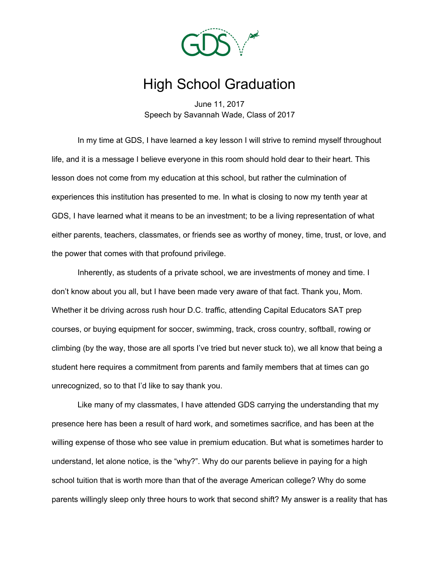

## High School Graduation

June 11, 2017 Speech by Savannah Wade, Class of 2017

In my time at GDS, I have learned a key lesson I will strive to remind myself throughout life, and it is a message I believe everyone in this room should hold dear to their heart. This lesson does not come from my education at this school, but rather the culmination of experiences this institution has presented to me. In what is closing to now my tenth year at GDS, I have learned what it means to be an investment; to be a living representation of what either parents, teachers, classmates, or friends see as worthy of money, time, trust, or love, and the power that comes with that profound privilege.

Inherently, as students of a private school, we are investments of money and time. I don't know about you all, but I have been made very aware of that fact. Thank you, Mom. Whether it be driving across rush hour D.C. traffic, attending Capital Educators SAT prep courses, or buying equipment for soccer, swimming, track, cross country, softball, rowing or climbing (by the way, those are all sports I've tried but never stuck to), we all know that being a student here requires a commitment from parents and family members that at times can go unrecognized, so to that I'd like to say thank you.

Like many of my classmates, I have attended GDS carrying the understanding that my presence here has been a result of hard work, and sometimes sacrifice, and has been at the willing expense of those who see value in premium education. But what is sometimes harder to understand, let alone notice, is the "why?". Why do our parents believe in paying for a high school tuition that is worth more than that of the average American college? Why do some parents willingly sleep only three hours to work that second shift? My answer is a reality that has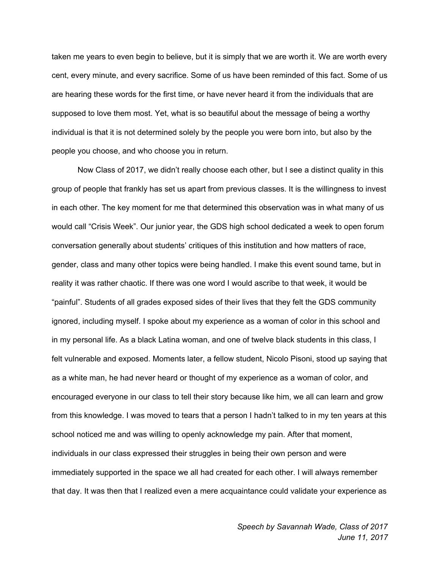taken me years to even begin to believe, but it is simply that we are worth it. We are worth every cent, every minute, and every sacrifice. Some of us have been reminded of this fact. Some of us are hearing these words for the first time, or have never heard it from the individuals that are supposed to love them most. Yet, what is so beautiful about the message of being a worthy individual is that it is not determined solely by the people you were born into, but also by the people you choose, and who choose you in return.

Now Class of 2017, we didn't really choose each other, but I see a distinct quality in this group of people that frankly has set us apart from previous classes. It is the willingness to invest in each other. The key moment for me that determined this observation was in what many of us would call "Crisis Week". Our junior year, the GDS high school dedicated a week to open forum conversation generally about students' critiques of this institution and how matters of race, gender, class and many other topics were being handled. I make this event sound tame, but in reality it was rather chaotic. If there was one word I would ascribe to that week, it would be "painful". Students of all grades exposed sides of their lives that they felt the GDS community ignored, including myself. I spoke about my experience as a woman of color in this school and in my personal life. As a black Latina woman, and one of twelve black students in this class, I felt vulnerable and exposed. Moments later, a fellow student, Nicolo Pisoni, stood up saying that as a white man, he had never heard or thought of my experience as a woman of color, and encouraged everyone in our class to tell their story because like him, we all can learn and grow from this knowledge. I was moved to tears that a person I hadn't talked to in my ten years at this school noticed me and was willing to openly acknowledge my pain. After that moment, individuals in our class expressed their struggles in being their own person and were immediately supported in the space we all had created for each other. I will always remember that day. It was then that I realized even a mere acquaintance could validate your experience as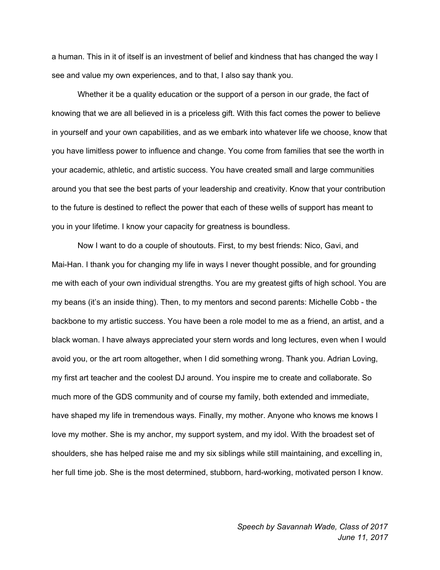a human. This in it of itself is an investment of belief and kindness that has changed the way I see and value my own experiences, and to that, I also say thank you.

Whether it be a quality education or the support of a person in our grade, the fact of knowing that we are all believed in is a priceless gift. With this fact comes the power to believe in yourself and your own capabilities, and as we embark into whatever life we choose, know that you have limitless power to influence and change. You come from families that see the worth in your academic, athletic, and artistic success. You have created small and large communities around you that see the best parts of your leadership and creativity. Know that your contribution to the future is destined to reflect the power that each of these wells of support has meant to you in your lifetime. I know your capacity for greatness is boundless.

Now I want to do a couple of shoutouts. First, to my best friends: Nico, Gavi, and Mai-Han. I thank you for changing my life in ways I never thought possible, and for grounding me with each of your own individual strengths. You are my greatest gifts of high school. You are my beans (it's an inside thing). Then, to my mentors and second parents: Michelle Cobb - the backbone to my artistic success. You have been a role model to me as a friend, an artist, and a black woman. I have always appreciated your stern words and long lectures, even when I would avoid you, or the art room altogether, when I did something wrong. Thank you. Adrian Loving, my first art teacher and the coolest DJ around. You inspire me to create and collaborate. So much more of the GDS community and of course my family, both extended and immediate, have shaped my life in tremendous ways. Finally, my mother. Anyone who knows me knows I love my mother. She is my anchor, my support system, and my idol. With the broadest set of shoulders, she has helped raise me and my six siblings while still maintaining, and excelling in, her full time job. She is the most determined, stubborn, hard-working, motivated person I know.